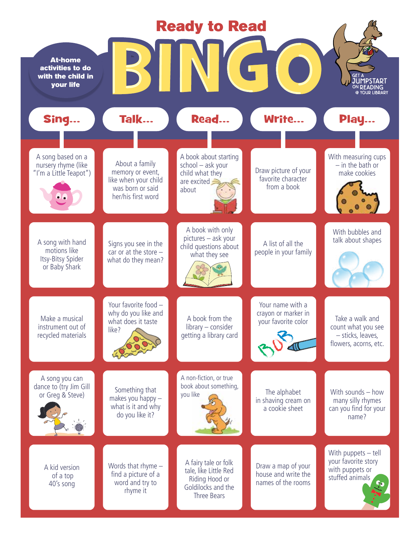| <b>Ready to Read</b>                                                   |                                                                                                      |                                                                                                      |                                                                 |                                                                                     |
|------------------------------------------------------------------------|------------------------------------------------------------------------------------------------------|------------------------------------------------------------------------------------------------------|-----------------------------------------------------------------|-------------------------------------------------------------------------------------|
| <b>At-home</b><br>activities to do<br>with the child in<br>your life   |                                                                                                      |                                                                                                      |                                                                 | GET A<br><b>JUMPSTART</b><br>@ YOHD HBDADY                                          |
| Sing                                                                   | Talk                                                                                                 | Read                                                                                                 | Write                                                           | Play                                                                                |
| A song based on a<br>nursery rhyme (like<br>"I'm a Little Teapot")     | About a family<br>memory or event,<br>like when your child<br>was born or said<br>her/his first word | A book about starting<br>school - ask your<br>child what they<br>are excited $\equiv$<br>about       | Draw picture of your<br>favorite character<br>from a book       | With measuring cups<br>$-$ in the bath or<br>make cookies                           |
| A song with hand<br>motions like<br>Itsy-Bitsy Spider<br>or Baby Shark | Signs you see in the<br>car or at the store $-$<br>what do they mean?                                | A book with only<br>pictures - ask your<br>child questions about<br>what they see                    | A list of all the<br>people in your family                      | With bubbles and<br>talk about shapes                                               |
| Make a musical<br>instrument out of<br>recycled materials              | Your favorite food -<br>why do you like and<br>what does it taste<br>like?                           | A book from the<br>library – consider<br>getting a library card                                      | Your name with a<br>crayon or marker in<br>your favorite color  | Take a walk and<br>count what you see<br>- sticks, leaves,<br>flowers, acorns, etc. |
| A song you can<br>dance to (try Jim Gill<br>or Greg & Steve)           | Something that<br>makes you happy -<br>what is it and why<br>do you like it?                         | A non-fiction, or true<br>book about something,<br>you like                                          | The alphabet<br>in shaving cream on<br>a cookie sheet           | With sounds - how<br>many silly rhymes<br>can you find for your<br>name?            |
| A kid version<br>of a top<br>40's song                                 | Words that rhyme $-$<br>find a picture of a<br>word and try to<br>rhyme it                           | A fairy tale or folk<br>tale, like Little Red<br>Riding Hood or<br>Goldilocks and the<br>Three Bears | Draw a map of your<br>house and write the<br>names of the rooms | With puppets $-$ tell<br>your favorite story<br>with puppets or<br>stuffed animals  |